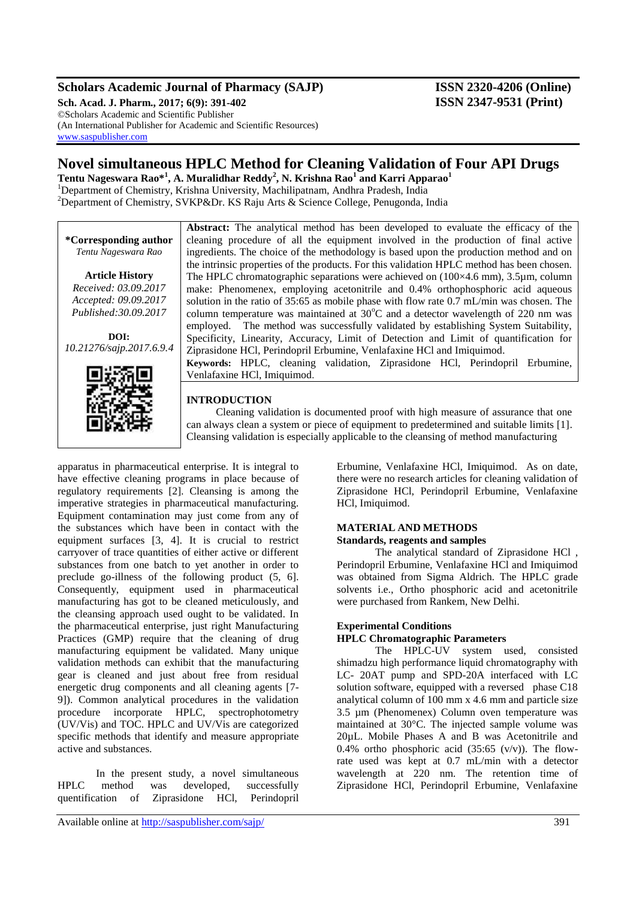### **Scholars Academic Journal of Pharmacy (SAJP) ISSN 2320-4206 (Online)**

**Sch. Acad. J. Pharm., 2017; 6(9): 391-402 ISSN 2347-9531 (Print)** ©Scholars Academic and Scientific Publisher (An International Publisher for Academic and Scientific Resources) [www.saspublisher.com](http://www.saspublisher.com/)

## **Novel simultaneous HPLC Method for Cleaning Validation of Four API Drugs**

**Tentu Nageswara Rao\*<sup>1</sup> , A. Muralidhar Reddy<sup>2</sup> , N. Krishna Rao<sup>1</sup> and Karri Apparao<sup>1</sup>** <sup>1</sup>Department of Chemistry, Krishna University, Machilipatnam, Andhra Pradesh, India <sup>2</sup>Department of Chemistry, SVKP&Dr. KS Raju Arts & Science College, Penugonda, India

|                          | <b>Abstract:</b> The analytical method has been developed to evaluate the efficacy of the      |
|--------------------------|------------------------------------------------------------------------------------------------|
| *Corresponding author    | cleaning procedure of all the equipment involved in the production of final active             |
| Tentu Nageswara Rao      | ingredients. The choice of the methodology is based upon the production method and on          |
|                          | the intrinsic properties of the products. For this validation HPLC method has been chosen.     |
| <b>Article History</b>   | The HPLC chromatographic separations were achieved on $(100\times4.6$ mm), 3.5 $\mu$ m, column |
| Received: 03.09.2017     | make: Phenomenex, employing acetonitrile and 0.4% orthophosphoric acid aqueous                 |
| Accepted: 09.09.2017     | solution in the ratio of 35:65 as mobile phase with flow rate 0.7 mL/min was chosen. The       |
| Published: 30.09.2017    | column temperature was maintained at $30^{\circ}$ C and a detector wavelength of 220 nm was    |
|                          | employed. The method was successfully validated by establishing System Suitability,            |
| DOI:                     | Specificity, Linearity, Accuracy, Limit of Detection and Limit of quantification for           |
| 10.21276/sajp.2017.6.9.4 | Ziprasidone HCl, Perindopril Erbumine, Venlafaxine HCl and Imiquimod.                          |
|                          | Keywords: HPLC, cleaning validation, Ziprasidone HCl, Perindopril Erbumine,                    |
|                          | Venlafaxine HCl, Imiquimod.                                                                    |
|                          |                                                                                                |
|                          | <b>INTRODUCTION</b>                                                                            |
|                          | Cleaning validation is documented proof with high measure of assurance that one                |

apparatus in pharmaceutical enterprise. It is integral to have effective cleaning programs in place because of regulatory requirements [2]. Cleansing is among the imperative strategies in pharmaceutical manufacturing. Equipment contamination may just come from any of the substances which have been in contact with the equipment surfaces [3, 4]. It is crucial to restrict carryover of trace quantities of either active or different substances from one batch to yet another in order to preclude go-illness of the following product (5, 6]. Consequently, equipment used in pharmaceutical manufacturing has got to be cleaned meticulously, and the cleansing approach used ought to be validated. In the pharmaceutical enterprise, just right Manufacturing Practices (GMP) require that the cleaning of drug manufacturing equipment be validated. Many unique validation methods can exhibit that the manufacturing gear is cleaned and just about free from residual energetic drug components and all cleaning agents [7- 9]). Common analytical procedures in the validation procedure incorporate HPLC, spectrophotometry (UV/Vis) and TOC. HPLC and UV/Vis are categorized specific methods that identify and measure appropriate active and substances.

国际海市

In the present study, a novel simultaneous HPLC method was developed, successfully quentification of Ziprasidone HCl, Perindopril

Erbumine, Venlafaxine HCl, Imiquimod. As on date, there were no research articles for cleaning validation of Ziprasidone HCl, Perindopril Erbumine, Venlafaxine HCl, Imiquimod.

### **MATERIAL AND METHODS**

can always clean a system or piece of equipment to predetermined and suitable limits [1]. Cleansing validation is especially applicable to the cleansing of method manufacturing

**Standards, reagents and samples**

The analytical standard of Ziprasidone HCl , Perindopril Erbumine, Venlafaxine HCl and Imiquimod was obtained from Sigma Aldrich. The HPLC grade solvents i.e., Ortho phosphoric acid and acetonitrile were purchased from Rankem, New Delhi.

### **Experimental Conditions**

### **HPLC Chromatographic Parameters**

The HPLC-UV system used, consisted shimadzu high performance liquid chromatography with LC- 20AT pump and SPD-20A interfaced with LC solution software, equipped with a reversed phase C18 analytical column of 100 mm x 4.6 mm and particle size 3.5 µm (Phenomenex) Column oven temperature was maintained at 30°C. The injected sample volume was 20µL. Mobile Phases A and B was Acetonitrile and 0.4% ortho phosphoric acid  $(35:65 \text{ (v/v)})$ . The flowrate used was kept at 0.7 mL/min with a detector wavelength at 220 nm. The retention time of Ziprasidone HCl, Perindopril Erbumine, Venlafaxine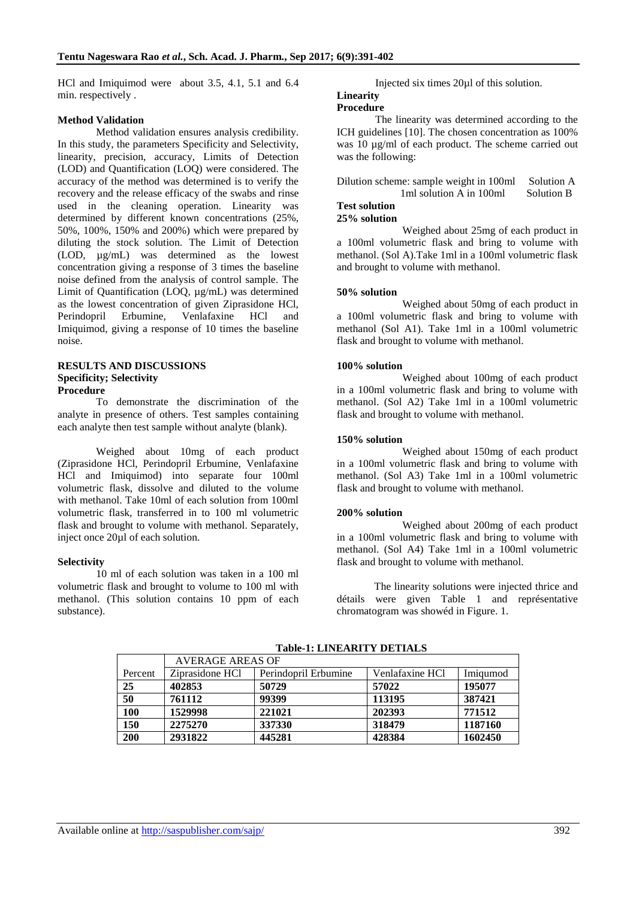HCl and Imiquimod were about 3.5, 4.1, 5.1 and 6.4 min. respectively .

### **Method Validation**

Method validation ensures analysis credibility. In this study, the parameters Specificity and Selectivity, linearity, precision, accuracy, Limits of Detection (LOD) and Quantification (LOQ) were considered. The accuracy of the method was determined is to verify the recovery and the release efficacy of the swabs and rinse used in the cleaning operation. Linearity was determined by different known concentrations (25%, 50%, 100%, 150% and 200%) which were prepared by diluting the stock solution. The Limit of Detection (LOD, µg/mL) was determined as the lowest concentration giving a response of 3 times the baseline noise defined from the analysis of control sample. The Limit of Quantification (LOQ, µg/mL) was determined as the lowest concentration of given Ziprasidone HCl, Perindopril Erbumine, Venlafaxine HCl and Imiquimod, giving a response of 10 times the baseline noise.

#### **RESULTS AND DISCUSSIONS Specificity; Selectivity Procedure**

To demonstrate the discrimination of the analyte in presence of others. Test samples containing each analyte then test sample without analyte (blank).

Weighed about 10mg of each product (Ziprasidone HCl, Perindopril Erbumine, Venlafaxine HCl and Imiquimod) into separate four 100ml volumetric flask, dissolve and diluted to the volume with methanol. Take 10ml of each solution from 100ml volumetric flask, transferred in to 100 ml volumetric flask and brought to volume with methanol. Separately, inject once 20µl of each solution.

### **Selectivity**

10 ml of each solution was taken in a 100 ml volumetric flask and brought to volume to 100 ml with methanol. (This solution contains 10 ppm of each substance).

Injected six times 20µl of this solution.

### **Linearity**

### **Procedure**

The linearity was determined according to the ICH guidelines [10]. The chosen concentration as 100% was 10  $\mu$ g/ml of each product. The scheme carried out was the following:

| Dilution scheme: sample weight in 100ml | Solution A |
|-----------------------------------------|------------|
| 1 ml solution A in 100 ml               | Solution B |

#### **Test solution 25% solution**

Weighed about 25mg of each product in a 100ml volumetric flask and bring to volume with methanol. (Sol A).Take 1ml in a 100ml volumetric flask and brought to volume with methanol.

### **50% solution**

Weighed about 50mg of each product in a 100ml volumetric flask and bring to volume with methanol (Sol A1). Take 1ml in a 100ml volumetric flask and brought to volume with methanol.

#### **100% solution**

Weighed about 100mg of each product in a 100ml volumetric flask and bring to volume with methanol. (Sol A2) Take 1ml in a 100ml volumetric flask and brought to volume with methanol.

#### **150% solution**

Weighed about 150mg of each product in a 100ml volumetric flask and bring to volume with methanol. (Sol A3) Take 1ml in a 100ml volumetric flask and brought to volume with methanol.

#### **200% solution**

Weighed about 200mg of each product in a 100ml volumetric flask and bring to volume with methanol. (Sol A4) Take 1ml in a 100ml volumetric flask and brought to volume with methanol.

 The linearity solutions were injected thrice and détails were given Table 1 and représentative chromatogram was showéd in Figure. 1.

|         | <b>AVERAGE AREAS OF</b> |                      |                 |          |  |  |  |  |
|---------|-------------------------|----------------------|-----------------|----------|--|--|--|--|
| Percent | Ziprasidone HCl         | Perindopril Erbumine | Venlafaxine HCl | Imigumod |  |  |  |  |
| 25      | 402853                  | 50729                | 57022           | 195077   |  |  |  |  |
| 50      | 761112                  | 99399                | 113195          | 387421   |  |  |  |  |
| 100     | 1529998                 | 221021               | 202393          | 771512   |  |  |  |  |
| 150     | 2275270                 | 337330               | 318479          | 1187160  |  |  |  |  |
| 200     | 2931822                 | 445281               | 428384          | 1602450  |  |  |  |  |

**Table-1: LINEARITY DETIALS**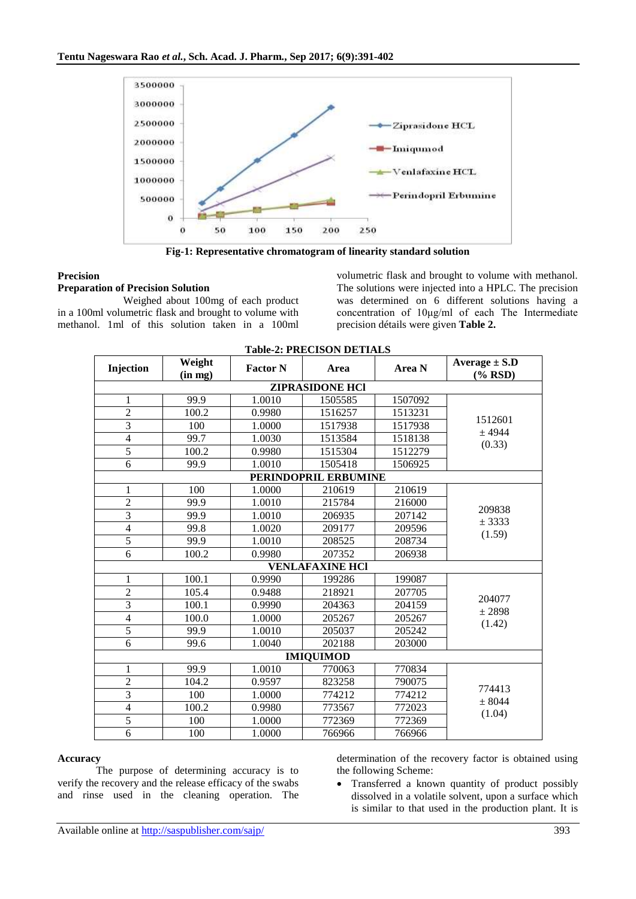

**Fig-1: Representative chromatogram of linearity standard solution**

### **Precision**

### **Preparation of Precision Solution**

Weighed about 100mg of each product in a 100ml volumetric flask and brought to volume with methanol. 1ml of this solution taken in a 100ml volumetric flask and brought to volume with methanol. The solutions were injected into a HPLC. The precision was determined on 6 different solutions having a concentration of 10μg/ml of each The Intermediate precision détails were given **Table 2.**

| Injection        | Weight  | <b>Factor N</b> | Area                   | Area N  | Average $\pm$ S.D  |  |
|------------------|---------|-----------------|------------------------|---------|--------------------|--|
|                  | (in mg) |                 |                        |         | $(\%$ RSD)         |  |
|                  |         |                 | <b>ZIPRASIDONE HCI</b> |         |                    |  |
| 1                | 99.9    | 1.0010          | 1505585                | 1507092 |                    |  |
| $\overline{2}$   | 100.2   | 0.9980          | 1516257                | 1513231 | 1512601            |  |
| 3                | 100     | 1.0000          | 1517938                | 1517938 | $±$ 4944           |  |
| $\overline{4}$   | 99.7    | 1.0030          | 1513584                | 1518138 | (0.33)             |  |
| $\overline{5}$   | 100.2   | 0.9980          | 1515304                | 1512279 |                    |  |
| 6                | 99.9    | 1.0010          | 1505418                | 1506925 |                    |  |
|                  |         |                 | PERINDOPRIL ERBUMINE   |         |                    |  |
| 1                | 100     | 1.0000          | 210619                 | 210619  |                    |  |
| $\overline{2}$   | 99.9    | 1.0010          | 215784                 | 216000  | 209838             |  |
| 3                | 99.9    | 1.0010          | 206935                 | 207142  | $±$ 3333<br>(1.59) |  |
| $\overline{4}$   | 99.8    | 1.0020          | 209177                 | 209596  |                    |  |
| 5                | 99.9    | 1.0010          | 208525                 | 208734  |                    |  |
| 6                | 100.2   | 0.9980          | 207352                 | 206938  |                    |  |
|                  |         |                 | <b>VENLAFAXINE HCI</b> |         |                    |  |
| 1                | 100.1   | 0.9990          | 199286                 | 199087  |                    |  |
| $\overline{2}$   | 105.4   | 0.9488          | 218921                 | 207705  | 204077             |  |
| $\overline{3}$   | 100.1   | 0.9990          | 204363                 | 204159  | ± 2898             |  |
| $\overline{4}$   | 100.0   | 1.0000          | 205267                 | 205267  | (1.42)             |  |
| 5                | 99.9    | 1.0010          | 205037                 | 205242  |                    |  |
| 6                | 99.6    | 1.0040          | 202188                 | 203000  |                    |  |
| <b>IMIOUIMOD</b> |         |                 |                        |         |                    |  |
| 1                | 99.9    | 1.0010          | 770063                 | 770834  |                    |  |
| $\overline{2}$   | 104.2   | 0.9597          | 823258                 | 790075  | 774413             |  |
| 3                | 100     | 1.0000          | 774212                 | 774212  | ± 8044             |  |
| $\overline{4}$   | 100.2   | 0.9980          | 773567                 | 772023  | (1.04)             |  |
| $\overline{5}$   | 100     | 1.0000          | 772369                 | 772369  |                    |  |
| 6                | 100     | 1.0000          | 766966                 | 766966  |                    |  |

#### **Table-2: PRECISON DETIALS**

### **Accuracy**

The purpose of determining accuracy is to verify the recovery and the release efficacy of the swabs and rinse used in the cleaning operation. The

determination of the recovery factor is obtained using the following Scheme:

 Transferred a known quantity of product possibly dissolved in a volatile solvent, upon a surface which is similar to that used in the production plant. It is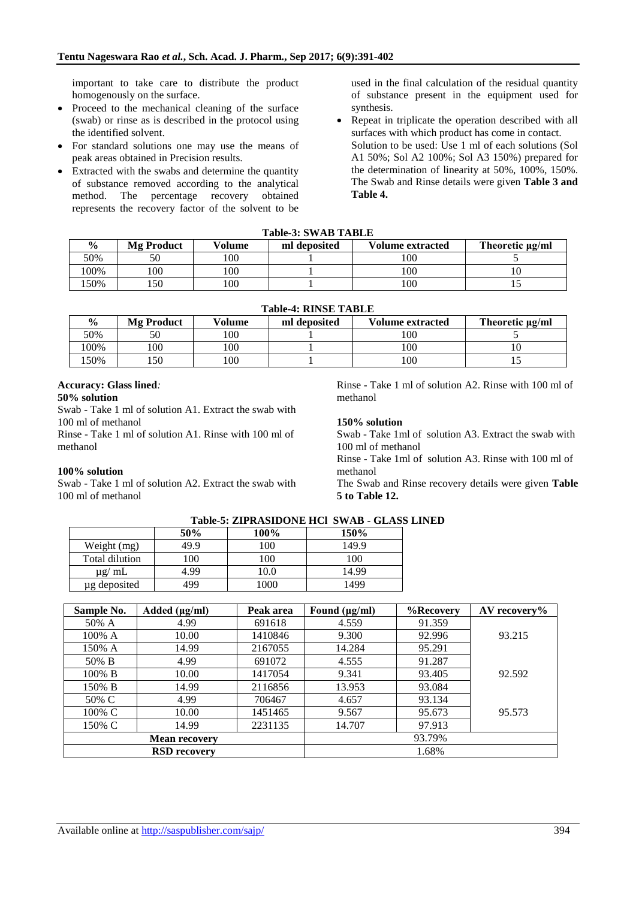important to take care to distribute the product homogenously on the surface.

- Proceed to the mechanical cleaning of the surface (swab) or rinse as is described in the protocol using the identified solvent.
- For standard solutions one may use the means of peak areas obtained in Precision results.
- Extracted with the swabs and determine the quantity of substance removed according to the analytical method. The percentage recovery obtained represents the recovery factor of the solvent to be

used in the final calculation of the residual quantity of substance present in the equipment used for synthesis.

 Repeat in triplicate the operation described with all surfaces with which product has come in contact. Solution to be used: Use 1 ml of each solutions (Sol A1 50%; Sol A2 100%; Sol A3 150%) prepared for the determination of linearity at 50%, 100%, 150%. The Swab and Rinse details were given **Table 3 and Table 4.**

|--|

| $\frac{0}{0}$ | <b>Mg Product</b> | Volume | ml deposited | <b>Volume extracted</b> | Theoretic µg/ml |
|---------------|-------------------|--------|--------------|-------------------------|-----------------|
| 50%           |                   | 100    |              | 100                     |                 |
| !00%          | $100^{\circ}$     | 100    |              | 100                     |                 |
| 50%           | 50ء               | 100    |              | 100                     | ⊥~              |

| <b>Table-4: RINSE TABLE</b> |                                                                                           |     |  |     |    |  |  |  |  |
|-----------------------------|-------------------------------------------------------------------------------------------|-----|--|-----|----|--|--|--|--|
| $\frac{0}{0}$               | Volume<br><b>Volume extracted</b><br><b>Mg Product</b><br>ml deposited<br>Theoretic µg/ml |     |  |     |    |  |  |  |  |
| 50%                         | 50                                                                                        | 100 |  | 100 |    |  |  |  |  |
| 100%                        | 100                                                                                       | 100 |  | 100 | ΙU |  |  |  |  |
| 50%                         | .50                                                                                       | 100 |  | 100 |    |  |  |  |  |

### **Accuracy: Glass lined***:*

### **50% solution**

Swab - Take 1 ml of solution A1. Extract the swab with 100 ml of methanol

Rinse - Take 1 ml of solution A1. Rinse with 100 ml of methanol

### **100% solution**

Swab - Take 1 ml of solution A2. Extract the swab with 100 ml of methanol

Rinse - Take 1 ml of solution A2. Rinse with 100 ml of methanol

### **150% solution**

Swab - Take 1ml of solution A3. Extract the swab with 100 ml of methanol

Rinse - Take 1ml of solution A3. Rinse with 100 ml of methanol

The Swab and Rinse recovery details were given **Table 5 to Table 12.**

|                |      |       | Table-5: ZIPRASIDONE HCI SWAB - GLASS I |
|----------------|------|-------|-----------------------------------------|
|                | 50%  | 100%  | 150%                                    |
| Weight (mg)    | 49.9 | 100   | 149.9                                   |
| Total dilution | 100  | 100   | 100                                     |
| $\mu$ g/ mL    | 4.99 | 10.0  | 14.99                                   |
| ug deposited   | 199  | l 000 | 1499                                    |

# **Table-5: ZIPRASIDONE HCl SWAB - GLASS LINED**

| Sample No.           | Added $(\mu g/ml)$ | Peak area | Found $(\mu g/ml)$ | %Recovery | AV recovery% |
|----------------------|--------------------|-----------|--------------------|-----------|--------------|
| 50% A                | 4.99               | 691618    | 4.559              | 91.359    |              |
| 100% A               | 10.00              | 1410846   | 9.300              | 92.996    | 93.215       |
| 150% A               | 14.99              | 2167055   | 14.284             | 95.291    |              |
| 50% B                | 4.99               | 691072    | 4.555              | 91.287    |              |
| 100% B               | 10.00              | 1417054   | 9.341              | 93.405    | 92.592       |
| 150% B               | 14.99              | 2116856   | 13.953             | 93.084    |              |
| 50% C                | 4.99               | 706467    | 4.657              | 93.134    |              |
| 100% C               | 10.00              | 1451465   | 9.567              | 95.673    | 95.573       |
| 150% C               | 14.99              | 2231135   | 14.707             | 97.913    |              |
| <b>Mean recovery</b> |                    |           |                    | 93.79%    |              |
| <b>RSD</b> recovery  |                    |           |                    | 1.68%     |              |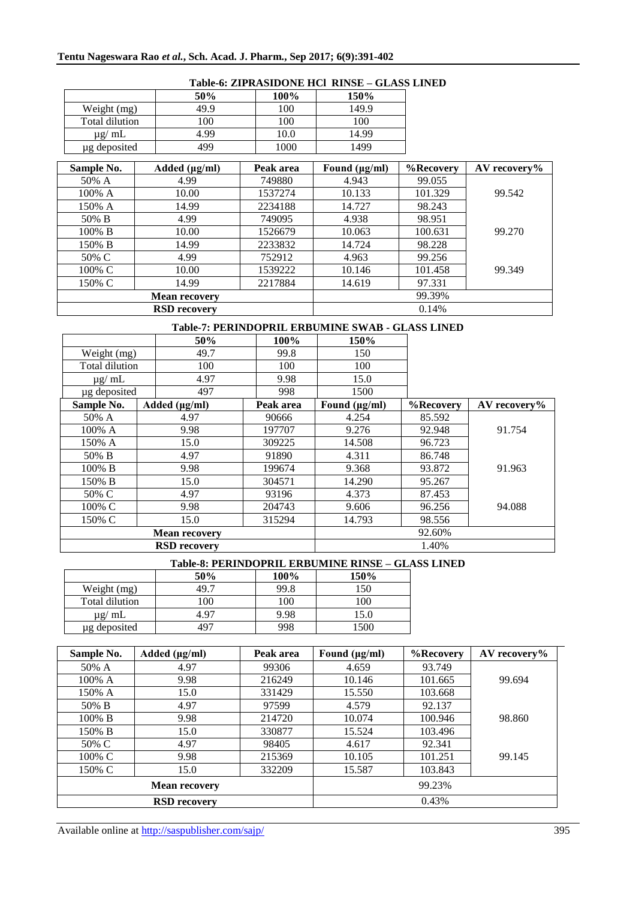|                | 50%  | 100% | 150%  |
|----------------|------|------|-------|
| Weight (mg)    | 49.9 | 100  | 149.9 |
| Total dilution | 100  | 100  | 100   |
| $\mu$ g/ mL    | 4.99 | 10.0 | 14.99 |
| µg deposited   | 499  | 1000 | 1499  |

### **Table-6: ZIPRASIDONE HCl RINSE – GLASS LINED**

| Sample No. | Added $(\mu g/ml)$   | Peak area | Found $(\mu g/ml)$ | %Recovery | $AV$ recovery% |
|------------|----------------------|-----------|--------------------|-----------|----------------|
| 50% A      | 4.99                 | 749880    | 4.943              | 99.055    |                |
| 100% A     | 10.00                | 1537274   | 10.133             | 101.329   | 99.542         |
| 150% A     | 14.99                | 2234188   | 14.727             | 98.243    |                |
| 50% B      | 4.99                 | 749095    | 4.938              | 98.951    |                |
| 100% B     | 10.00                | 1526679   | 10.063             | 100.631   | 99.270         |
| 150% B     | 14.99                | 2233832   | 14.724             | 98.228    |                |
| 50% C      | 4.99                 | 752912    | 4.963              | 99.256    |                |
| 100% C     | 10.00                | 1539222   | 10.146             | 101.458   | 99.349         |
| 150% C     | 14.99                | 2217884   | 14.619             | 97.331    |                |
|            | <b>Mean recovery</b> |           |                    | 99.39%    |                |
|            | <b>RSD</b> recovery  |           |                    | 0.14%     |                |

### **Table-7: PERINDOPRIL ERBUMINE SWAB - GLASS LINED**

|                      |  | 50%                 | 100%      | 150%               |           |              |
|----------------------|--|---------------------|-----------|--------------------|-----------|--------------|
| Weight (mg)          |  | 49.7                | 99.8      | 150                |           |              |
| Total dilution       |  | 100                 | 100       | 100                |           |              |
| $\mu$ g/ mL          |  | 4.97                | 9.98      | 15.0               |           |              |
| µg deposited         |  | 497                 | 998       | 1500               |           |              |
| Sample No.           |  | Added $(\mu g/ml)$  | Peak area | Found $(\mu g/ml)$ | %Recovery | AV recovery% |
| 50% A                |  | 4.97                | 90666     | 4.254              | 85.592    |              |
| 100% A               |  | 9.98                | 197707    | 9.276              | 92.948    | 91.754       |
| 150% A               |  | 15.0                | 309225    | 14.508             | 96.723    |              |
| 50% B                |  | 4.97                | 91890     | 4.311              | 86.748    |              |
| 100% B               |  | 9.98                | 199674    | 9.368              | 93.872    | 91.963       |
| 150% B               |  | 15.0                | 304571    | 14.290             | 95.267    |              |
| 50% C                |  | 4.97                | 93196     | 4.373              | 87.453    |              |
| 100% C               |  | 9.98                | 204743    | 9.606              | 96.256    | 94.088       |
| 150% C               |  | 15.0                | 315294    | 14.793             | 98.556    |              |
| <b>Mean recovery</b> |  |                     |           | 92.60%             |           |              |
|                      |  | <b>RSD</b> recovery |           |                    | 1.40%     |              |

#### **Table-8: PERINDOPRIL ERBUMINE RINSE – GLASS LINED**

|                | 50%  | 100% | 150%     |
|----------------|------|------|----------|
| Weight (mg)    | 49.7 | 99.8 | 150      |
| Total dilution | 100  | 100  | 100      |
| $\mu$ g/ mL    | 4.97 | 9.98 | 15.0     |
| ug deposited   | 497  | 998  | $1500 -$ |

| Sample No.           | Added $(\mu g/ml)$  | Peak area | Found $(\mu g/ml)$ | %Recovery | AV recovery% |
|----------------------|---------------------|-----------|--------------------|-----------|--------------|
| 50% A                | 4.97                | 99306     | 4.659              | 93.749    |              |
| $100\%$ A            | 9.98                | 216249    | 10.146             | 101.665   | 99.694       |
| 150% A               | 15.0                | 331429    | 15.550             | 103.668   |              |
| 50% B                | 4.97                | 97599     | 4.579              | 92.137    |              |
| $100\%$ B            | 9.98                | 214720    | 10.074             | 100.946   | 98.860       |
| 150% B               | 15.0                | 330877    | 15.524             | 103.496   |              |
| 50% C                | 4.97                | 98405     | 4.617              | 92.341    |              |
| 100% C               | 9.98                | 215369    | 10.105             | 101.251   | 99.145       |
| 150% C               | 15.0                | 332209    | 15.587             | 103.843   |              |
| <b>Mean recovery</b> |                     |           |                    | 99.23%    |              |
|                      | <b>RSD</b> recovery |           |                    | 0.43%     |              |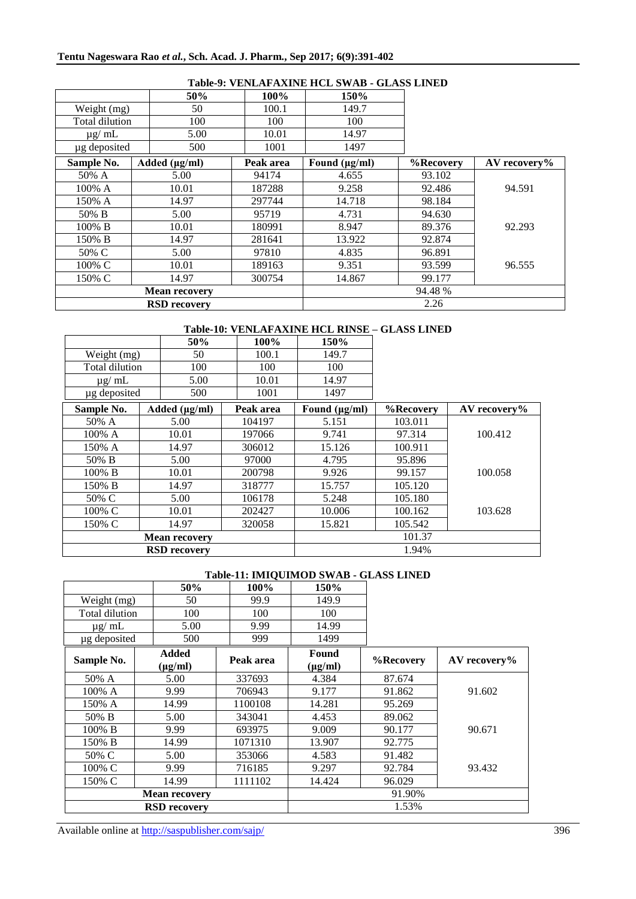|                |                      |           | Table-9. VENLAPAAINE HUL SWAD - GLASS LINED |           |              |
|----------------|----------------------|-----------|---------------------------------------------|-----------|--------------|
|                | 50%                  | 100%      | 150%                                        |           |              |
| Weight (mg)    | 50                   | 100.1     | 149.7                                       |           |              |
| Total dilution | 100                  | 100       | 100                                         |           |              |
| $\mu$ g/ mL    | 5.00                 | 10.01     | 14.97                                       |           |              |
| µg deposited   | 500                  | 1001      | 1497                                        |           |              |
| Sample No.     | Added $(\mu g/ml)$   | Peak area | Found $(\mu g/ml)$                          | %Recovery | AV recovery% |
| 50% A          | 5.00                 | 94174     | 4.655                                       | 93.102    |              |
| 100% A         | 10.01                | 187288    | 9.258                                       | 92.486    | 94.591       |
| 150% A         | 14.97                | 297744    | 14.718                                      | 98.184    |              |
| 50% B          | 5.00                 | 95719     | 4.731                                       | 94.630    |              |
| 100% B         | 10.01                | 180991    | 8.947                                       | 89.376    | 92.293       |
| 150% B         | 14.97                | 281641    | 13.922                                      | 92.874    |              |
| 50% C          | 5.00                 | 97810     | 4.835                                       | 96.891    |              |
| 100% C         | 10.01                | 189163    | 9.351                                       | 93.599    | 96.555       |
| 150% C         | 14.97                | 300754    | 14.867                                      | 99.177    |              |
|                | <b>Mean recovery</b> |           |                                             | 94.48 %   |              |
|                | <b>RSD</b> recovery  |           |                                             | 2.26      |              |

### **Table-9: VENLAFAXINE HCL SWAB - GLASS LINED**

### **Table-10: VENLAFAXINE HCL RINSE – GLASS LINED**

|                | 50%                  | 100%      | 150%               |           |                |
|----------------|----------------------|-----------|--------------------|-----------|----------------|
| Weight (mg)    | 50                   | 100.1     | 149.7              |           |                |
| Total dilution | 100                  | 100       | 100                |           |                |
| $\mu$ g/ mL    | 5.00                 | 10.01     | 14.97              |           |                |
| µg deposited   | 500                  | 1001      | 1497               |           |                |
| Sample No.     | Added $(\mu g/ml)$   | Peak area | Found $(\mu g/ml)$ | %Recovery | $AV$ recovery% |
| 50% A          | 5.00                 | 104197    | 5.151              | 103.011   |                |
| 100% A         | 10.01                | 197066    | 9.741              | 97.314    | 100.412        |
| 150% A         | 14.97                | 306012    | 15.126             | 100.911   |                |
| 50% B          | 5.00                 | 97000     | 4.795              | 95.896    |                |
| 100% B         | 10.01                | 200798    | 9.926              | 99.157    | 100.058        |
| 150% B         | 14.97                | 318777    | 15.757             | 105.120   |                |
| 50% C          | 5.00                 | 106178    | 5.248              | 105.180   |                |
| 100% C         | 10.01                | 202427    | 10.006             | 100.162   | 103.628        |
| 150% C         | 14.97                | 320058    | 15.821             | 105.542   |                |
|                | <b>Mean recovery</b> | 101.37    |                    |           |                |
|                | <b>RSD</b> recovery  |           | 1.94%              |           |                |

### **Table-11: IMIQUIMOD SWAB - GLASS LINED**

|                | 50%                            | 100%      | 150%                  |           |                |
|----------------|--------------------------------|-----------|-----------------------|-----------|----------------|
| Weight (mg)    | 50                             | 99.9      | 149.9                 |           |                |
| Total dilution | 100                            | 100       | 100                   |           |                |
| $\mu$ g/ mL    | 5.00                           | 9.99      | 14.99                 |           |                |
| µg deposited   | 500                            | 999       | 1499                  |           |                |
| Sample No.     | Added<br>$(\mu g/ml)$          | Peak area | Found<br>$(\mu g/ml)$ | %Recovery | $AV$ recovery% |
| 50% A          | 5.00                           | 337693    | 4.384                 | 87.674    |                |
| 100% A         | 9.99                           | 706943    | 9.177                 | 91.862    | 91.602         |
| 150% A         | 14.99                          | 1100108   | 14.281                | 95.269    |                |
| 50% B          | 5.00                           | 343041    | 4.453                 | 89.062    |                |
| 100% B         | 9.99                           | 693975    | 9.009                 | 90.177    | 90.671         |
| 150% B         | 14.99                          | 1071310   | 13.907                | 92.775    |                |
| 50% C          | 5.00                           | 353066    | 4.583                 | 91.482    |                |
| 100% C         | 9.99                           | 716185    | 9.297                 | 92.784    | 93.432         |
| 150% C         | 14.99                          | 1111102   | 14.424                | 96.029    |                |
|                | 91.90%<br><b>Mean recovery</b> |           |                       |           |                |
|                | <b>RSD</b> recovery            |           | 1.53%                 |           |                |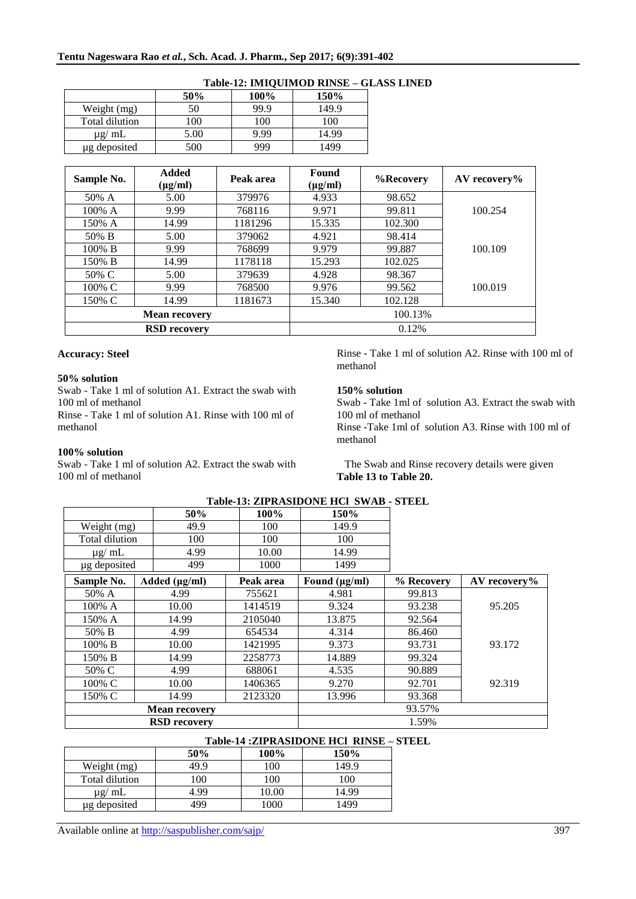|                | 50%  | 100% | 150%  |
|----------------|------|------|-------|
| Weight (mg)    | 50   | 99.9 | 149.9 |
| Total dilution | 100  | 100  | 100   |
| $\mu$ g/ mL    | 5.00 | 9.99 | 14.99 |
| µg deposited   | 500  | 999  | 1499  |

### **Table-12: IMIQUIMOD RINSE – GLASS LINED**

| Sample No.           | <b>Added</b><br>$(\mu g/ml)$ | Peak area | Found<br>$(\mu g/ml)$ | %Recovery | $AV$ recovery% |
|----------------------|------------------------------|-----------|-----------------------|-----------|----------------|
| 50% A                | 5.00                         | 379976    | 4.933                 | 98.652    |                |
| 100% A               | 9.99                         | 768116    | 9.971                 | 99.811    | 100.254        |
| 150% A               | 14.99                        | 1181296   | 15.335                | 102.300   |                |
| 50% B                | 5.00                         | 379062    | 4.921                 | 98.414    |                |
| $100\%$ B            | 9.99                         | 768699    | 9.979                 | 99.887    | 100.109        |
| 150% B               | 14.99                        | 1178118   | 15.293                | 102.025   |                |
| 50% C                | 5.00                         | 379639    | 4.928                 | 98.367    |                |
| 100% C               | 9.99                         | 768500    | 9.976                 | 99.562    | 100.019        |
| 150% C               | 14.99                        | 1181673   | 15.340                | 102.128   |                |
| <b>Mean recovery</b> |                              |           |                       | 100.13%   |                |
| <b>RSD</b> recovery  |                              |           |                       | 0.12%     |                |

#### **Accuracy: Steel**

#### **50% solution**

Swab - Take 1 ml of solution A1. Extract the swab with 100 ml of methanol

Rinse - Take 1 ml of solution A1. Rinse with 100 ml of methanol

#### **100% solution**

Swab - Take 1 ml of solution A2. Extract the swab with 100 ml of methanol

Rinse - Take 1 ml of solution A2. Rinse with 100 ml of methanol

#### **150% solution**

Swab - Take 1ml of solution A3. Extract the swab with 100 ml of methanol Rinse -Take 1ml of solution A3. Rinse with 100 ml of methanol

 The Swab and Rinse recovery details were given **Table 13 to Table 20.**

|                | 50%                  | 100%      | 150%               |            |              |
|----------------|----------------------|-----------|--------------------|------------|--------------|
| Weight (mg)    | 49.9                 | 100       | 149.9              |            |              |
| Total dilution | 100                  | 100       | 100                |            |              |
| $\mu$ g/ mL    | 4.99                 | 10.00     | 14.99              |            |              |
| µg deposited   | 499                  | 1000      | 1499               |            |              |
| Sample No.     | Added $(\mu g/ml)$   | Peak area | Found $(\mu g/ml)$ | % Recovery | AV recovery% |
| 50% A          | 4.99                 | 755621    | 4.981              | 99.813     |              |
| 100% A         | 10.00                | 1414519   | 9.324              | 93.238     | 95.205       |
| 150% A         | 14.99                | 2105040   | 13.875             | 92.564     |              |
| 50% B          | 4.99                 | 654534    | 4.314              | 86.460     |              |
| 100% B         | 10.00                | 1421995   | 9.373              | 93.731     | 93.172       |
| 150% B         | 14.99                | 2258773   | 14.889             | 99.324     |              |
| 50% C          | 4.99                 | 688061    | 4.535              | 90.889     |              |
| 100% C         | 10.00                | 1406365   | 9.270              | 92.701     | 92.319       |
| 150% C         | 14.99                | 2123320   | 13.996             | 93.368     |              |
|                | <b>Mean recovery</b> |           |                    | 93.57%     |              |
|                | <b>RSD</b> recovery  |           |                    | 1.59%      |              |

### **Table-13: ZIPRASIDONE HCl SWAB - STEEL**

### **Table-14 :ZIPRASIDONE HCl RINSE – STEEL**

|                | 50%  | 100%  | 150%  |
|----------------|------|-------|-------|
| Weight (mg)    | 49.9 | 100   | 149.9 |
| Total dilution | 100  | 100   | 100   |
| $\mu$ g/ mL    | 4.99 | 10.00 | 14.99 |
| µg deposited   | 499  | 1000  | 1499  |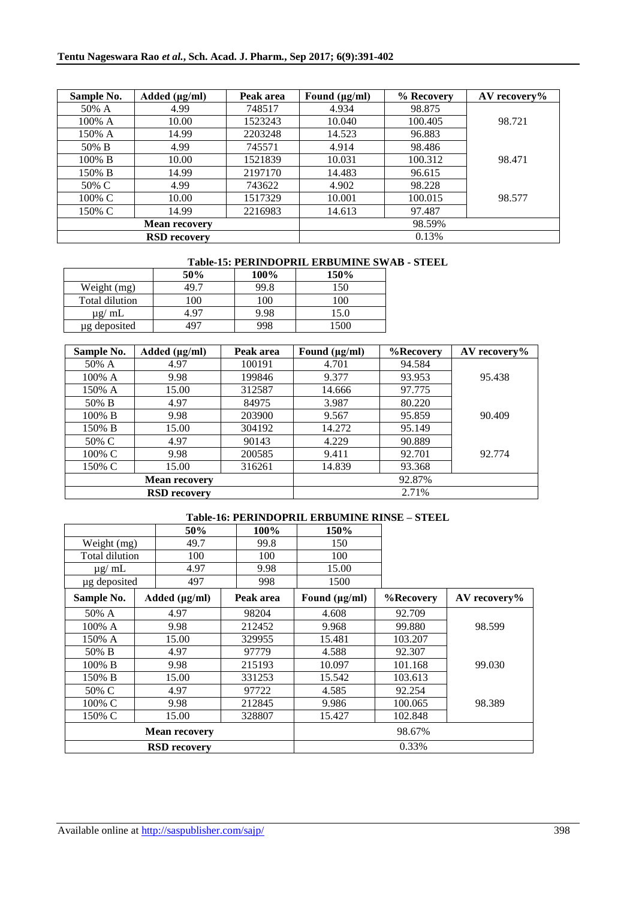| Sample No. | Added $(\mu g/ml)$   | Peak area | Found $(\mu g/ml)$ | % Recovery | AV recovery% |
|------------|----------------------|-----------|--------------------|------------|--------------|
| 50% A      | 4.99                 | 748517    | 4.934              | 98.875     |              |
| 100% A     | 10.00                | 1523243   | 10.040             | 100.405    | 98.721       |
| 150% A     | 14.99                | 2203248   | 14.523             | 96.883     |              |
| 50% B      | 4.99                 | 745571    | 4.914              | 98.486     |              |
| 100% B     | 10.00                | 1521839   | 10.031             | 100.312    | 98.471       |
| 150% B     | 14.99                | 2197170   | 14.483             | 96.615     |              |
| 50% C      | 4.99                 | 743622    | 4.902              | 98.228     |              |
| 100% C     | 10.00                | 1517329   | 10.001             | 100.015    | 98.577       |
| 150% C     | 14.99                | 2216983   | 14.613             | 97.487     |              |
|            | <b>Mean recovery</b> |           |                    | 98.59%     |              |
|            | <b>RSD</b> recovery  |           | 0.13%              |            |              |

### **Table-15: PERINDOPRIL ERBUMINE SWAB - STEEL**

|                | 50%  | 100% | 150% |
|----------------|------|------|------|
| Weight (mg)    | 49.T | 99.8 | 150  |
| Total dilution | 100  | 100  | 100  |
| $\mu$ g/ mL    | 4 97 | 9.98 | 15.0 |
| µg deposited   | 497  | 998  | 1500 |

| Sample No. | Added $(\mu g/ml)$   | Peak area | Found $(\mu g/ml)$ | %Recovery | $AV$ recovery% |
|------------|----------------------|-----------|--------------------|-----------|----------------|
| 50% A      | 4.97                 | 100191    | 4.701              | 94.584    |                |
| 100% A     | 9.98                 | 199846    | 9.377              | 93.953    | 95.438         |
| 150% A     | 15.00                | 312587    | 14.666             | 97.775    |                |
| 50% B      | 4.97                 | 84975     | 3.987              | 80.220    |                |
| 100% B     | 9.98                 | 203900    | 9.567              | 95.859    | 90.409         |
| 150% B     | 15.00                | 304192    | 14.272             | 95.149    |                |
| 50% C      | 4.97                 | 90143     | 4.229              | 90.889    |                |
| 100% C     | 9.98                 | 200585    | 9.411              | 92.701    | 92.774         |
| 150% C     | 15.00                | 316261    | 14.839             | 93.368    |                |
|            | <b>Mean recovery</b> |           |                    | 92.87%    |                |
|            | <b>RSD</b> recovery  |           |                    | 2.71%     |                |

## **Table-16: PERINDOPRIL ERBUMINE RINSE – STEEL**

|                |       | 50%                  | 100%      | 150%               |           |                |
|----------------|-------|----------------------|-----------|--------------------|-----------|----------------|
| Weight (mg)    |       | 49.7                 | 99.8      | 150                |           |                |
| Total dilution |       | 100                  | 100       | 100                |           |                |
| $\mu$ g/ mL    |       | 4.97                 | 9.98      | 15.00              |           |                |
| µg deposited   |       | 497                  | 998       | 1500               |           |                |
| Sample No.     |       | Added $(\mu g/ml)$   | Peak area | Found $(\mu g/ml)$ | %Recovery | $AV$ recovery% |
| 50% A          |       | 4.97                 | 98204     | 4.608              | 92.709    |                |
| 100% A         |       | 9.98                 | 212452    | 9.968              | 99.880    | 98.599         |
| 150% A         |       | 15.00                | 329955    | 15.481             | 103.207   |                |
| 50% B          |       | 4.97                 | 97779     | 4.588              | 92.307    |                |
| 100% B         |       | 9.98                 | 215193    | 10.097             | 101.168   | 99.030         |
| 150% B         | 15.00 |                      | 331253    | 15.542             | 103.613   |                |
| 50% C          |       | 4.97                 | 97722     | 4.585              | 92.254    |                |
| 100% C         |       | 9.98                 | 212845    | 9.986              | 100.065   | 98.389         |
| 150% C         | 15.00 |                      | 328807    | 15.427             | 102.848   |                |
|                |       | <b>Mean recovery</b> |           |                    | 98.67%    |                |
|                |       | <b>RSD</b> recovery  |           | 0.33%              |           |                |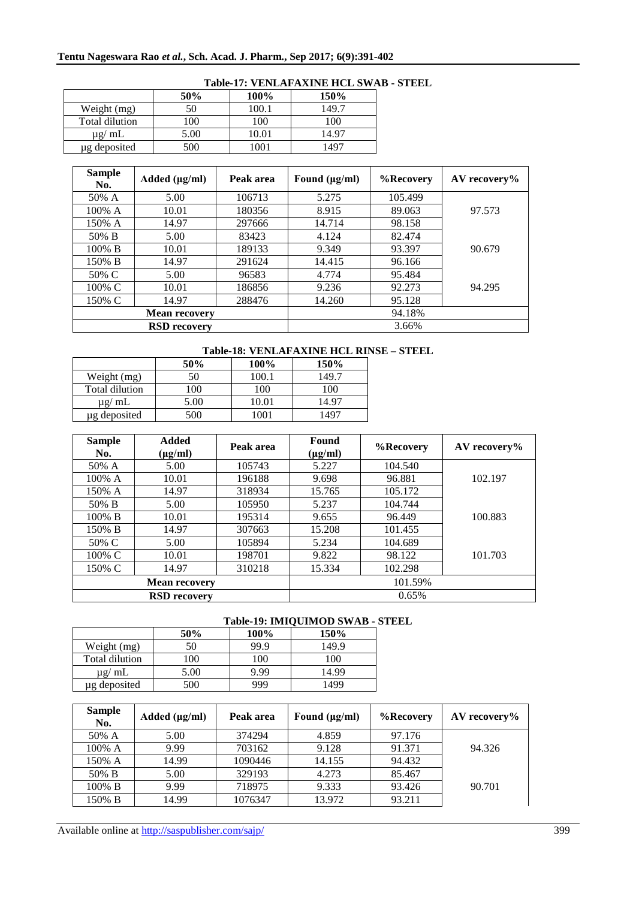|                | 50%  | 100%  | 150%  |
|----------------|------|-------|-------|
| Weight (mg)    | 50   | 100.1 | 149.7 |
| Total dilution | 100  | 100   | 100   |
| $\mu$ g/ mL    | 5.00 | 10.01 | 14.97 |
| ug deposited   | 500  | 1001  | 1497  |

### **Table-17: VENLAFAXINE HCL SWAB - STEEL**

| <b>Sample</b><br>No. | Added $(\mu g/ml)$   | Peak area | Found $(\mu g/ml)$ | %Recovery | $AV$ recovery% |
|----------------------|----------------------|-----------|--------------------|-----------|----------------|
| 50% A                | 5.00                 | 106713    | 5.275              | 105.499   |                |
| 100% A               | 10.01                | 180356    | 8.915              | 89.063    | 97.573         |
| 150% A               | 14.97                | 297666    | 14.714             | 98.158    |                |
| 50% B                | 5.00                 | 83423     | 4.124              | 82.474    |                |
| 100% B               | 10.01                | 189133    | 9.349              | 93.397    | 90.679         |
| 150% B               | 14.97                | 291624    | 14.415             | 96.166    |                |
| 50% C                | 5.00                 | 96583     | 4.774              | 95.484    |                |
| 100% C               | 10.01                | 186856    | 9.236              | 92.273    | 94.295         |
| 150% C               | 14.97                | 288476    | 14.260             | 95.128    |                |
|                      | <b>Mean recovery</b> |           |                    | 94.18%    |                |
|                      | <b>RSD</b> recovery  |           |                    | 3.66%     |                |

### **Table-18: VENLAFAXINE HCL RINSE – STEEL**

|                | 50%              | 100%  | 150%  |
|----------------|------------------|-------|-------|
| Weight (mg)    | 50               | 100.1 | 149.7 |
| Total dilution | 100              | 100   | 100   |
| $\mu$ g/ mL    | 5.00             | 10.01 | 14.97 |
| ug deposited   | 500 <sup>-</sup> | 1001  | 497   |

| <b>Sample</b><br>No. | <b>Added</b><br>$(\mu g/ml)$ | Peak area | Found<br>$(\mu g/ml)$ | %Recovery | $AV$ recovery% |
|----------------------|------------------------------|-----------|-----------------------|-----------|----------------|
| 50% A                | 5.00                         | 105743    | 5.227                 | 104.540   |                |
| 100% A               | 10.01                        | 196188    | 9.698                 | 96.881    | 102.197        |
| 150% A               | 14.97                        | 318934    | 15.765                | 105.172   |                |
| 50% B                | 5.00                         | 105950    | 5.237                 | 104.744   |                |
| 100% B               | 10.01                        | 195314    | 9.655                 | 96.449    | 100.883        |
| 150% B               | 14.97                        | 307663    | 15.208                | 101.455   |                |
| 50% C                | 5.00                         | 105894    | 5.234                 | 104.689   |                |
| 100% C               | 10.01                        | 198701    | 9.822                 | 98.122    | 101.703        |
| 150% C               | 14.97                        | 310218    | 15.334                | 102.298   |                |
|                      | <b>Mean recovery</b>         |           |                       | 101.59%   |                |
|                      | <b>RSD</b> recovery          |           |                       | 0.65%     |                |

### **Table-19: IMIQUIMOD SWAB - STEEL**

|                |      |      | 1000 12, 1011 0010 00 0011 |
|----------------|------|------|----------------------------|
|                | 50%  | 100% | 150%                       |
| Weight (mg)    | 50   | 99.9 | 149.9                      |
| Total dilution | 100  | 100  | 100                        |
| $\mu$ g/ mL    | 5.00 | 9.99 | 14.99                      |
| ug deposited   | 500  | 999  | 1499                       |

| <b>Sample</b><br>No. | Added $(\mu g/ml)$ | Peak area | Found $(\mu g/ml)$ | %Recovery | $AV$ recovery% |
|----------------------|--------------------|-----------|--------------------|-----------|----------------|
| 50% A                | 5.00               | 374294    | 4.859              | 97.176    |                |
| 100% A               | 9.99               | 703162    | 9.128              | 91.371    | 94.326         |
| 150% A               | 14.99              | 1090446   | 14.155             | 94.432    |                |
| 50% B                | 5.00               | 329193    | 4.273              | 85.467    |                |
| 100% B               | 9.99               | 718975    | 9.333              | 93.426    | 90.701         |
| 150% B               | 14.99              | 1076347   | 13.972             | 93.211    |                |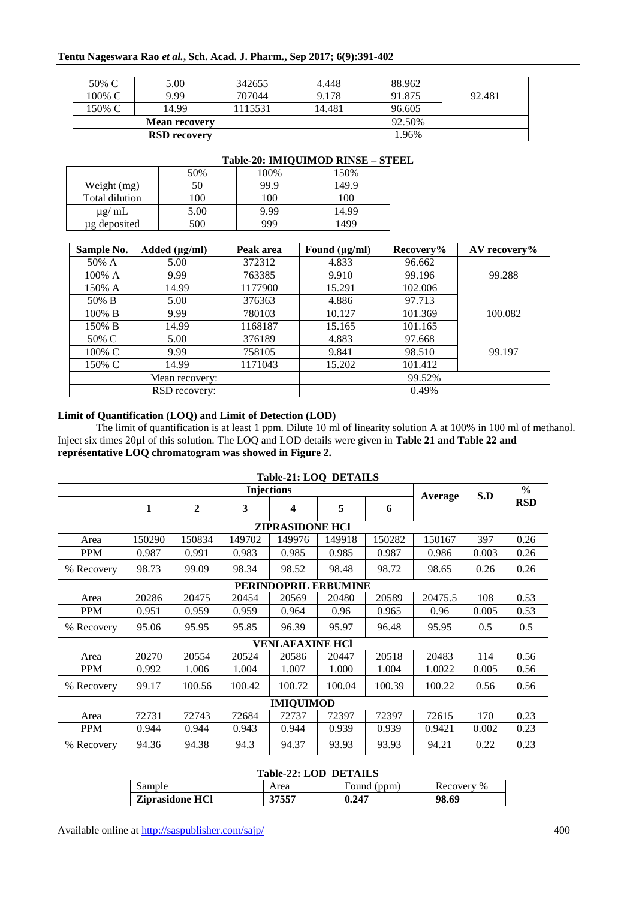### **Tentu Nageswara Rao** *et al.***, Sch. Acad. J. Pharm., Sep 2017; 6(9):391-402**

| 50% C                | 5.00                | 342655  | 4.448  | 88.962 |        |
|----------------------|---------------------|---------|--------|--------|--------|
| 100% C               | 9.99                | 707044  | 9.178  | 91.875 | 92.481 |
| 150% C               | 14.99               | 1115531 | 14.481 | 96.605 |        |
| <b>Mean recovery</b> |                     |         | 92.50% |        |        |
|                      | <b>RSD</b> recovery |         |        | 1.96%  |        |

|                |      |      | Table-20: IMIQUIMOD RINSE - STEEL |  |
|----------------|------|------|-----------------------------------|--|
|                | 50%  | 100% | 150%                              |  |
| Weight (mg)    | 50   | 99.9 | 149.9                             |  |
| Total dilution | 100  | 100  | 100                               |  |
| $\mu$ g/ mL    | 5.00 | 9.99 | 14.99                             |  |
| ug deposited   | 500  |      | 499                               |  |

| Sample No.    | Added $(\mu g/ml)$ | Peak area | Found $(\mu g/ml)$ | Recovery% | AV recovery% |
|---------------|--------------------|-----------|--------------------|-----------|--------------|
| 50% A         | 5.00               | 372312    | 4.833              | 96.662    |              |
| 100% A        | 9.99               | 763385    | 9.910              | 99.196    | 99.288       |
| 150% A        | 14.99              | 1177900   | 15.291             | 102.006   |              |
| 50% B         | 5.00               | 376363    | 4.886              | 97.713    |              |
| 100% B        | 9.99               | 780103    | 10.127             | 101.369   | 100.082      |
| 150% B        | 14.99              | 1168187   | 15.165             | 101.165   |              |
| 50% C         | 5.00               | 376189    | 4.883              | 97.668    |              |
| 100% C        | 9.99               | 758105    | 9.841              | 98.510    | 99.197       |
| 150% C        | 14.99              | 1171043   | 15.202             | 101.412   |              |
|               | Mean recovery:     |           |                    | 99.52%    |              |
| RSD recovery: |                    |           |                    | 0.49%     |              |

### **Limit of Quantification (LOQ) and Limit of Detection (LOD)**

The limit of quantification is at least 1 ppm. Dilute 10 ml of linearity solution A at 100% in 100 ml of methanol. Inject six times 20µl of this solution. The LOQ and LOD details were given in **Table 21 and Table 22 and représentative LOQ chromatogram was showed in Figure 2.** 

| $1400C-21.10Q$ DETAILS |                   |                  |        |                        |                      |        |         |       |            |
|------------------------|-------------------|------------------|--------|------------------------|----------------------|--------|---------|-------|------------|
|                        | <b>Injections</b> |                  |        |                        |                      |        | Average | S.D   | $\%$       |
|                        | 1                 | $\boldsymbol{2}$ | 3      | 4                      | 5                    | 6      |         |       | <b>RSD</b> |
|                        |                   |                  |        | <b>ZIPRASIDONE HCI</b> |                      |        |         |       |            |
| Area                   | 150290            | 150834           | 149702 | 149976                 | 149918               | 150282 | 150167  | 397   | 0.26       |
| <b>PPM</b>             | 0.987             | 0.991            | 0.983  | 0.985                  | 0.985                | 0.987  | 0.986   | 0.003 | 0.26       |
| % Recovery             | 98.73             | 99.09            | 98.34  | 98.52                  | 98.48                | 98.72  | 98.65   | 0.26  | 0.26       |
|                        |                   |                  |        |                        | PERINDOPRIL ERBUMINE |        |         |       |            |
| Area                   | 20286             | 20475            | 20454  | 20569                  | 20480                | 20589  | 20475.5 | 108   | 0.53       |
| <b>PPM</b>             | 0.951             | 0.959            | 0.959  | 0.964                  | 0.96                 | 0.965  | 0.96    | 0.005 | 0.53       |
| % Recovery             | 95.06             | 95.95            | 95.85  | 96.39                  | 95.97                | 96.48  | 95.95   | 0.5   | 0.5        |
|                        |                   |                  |        | <b>VENLAFAXINE HCI</b> |                      |        |         |       |            |
| Area                   | 20270             | 20554            | 20524  | 20586                  | 20447                | 20518  | 20483   | 114   | 0.56       |
| <b>PPM</b>             | 0.992             | 1.006            | 1.004  | 1.007                  | 1.000                | 1.004  | 1.0022  | 0.005 | 0.56       |
| % Recovery             | 99.17             | 100.56           | 100.42 | 100.72                 | 100.04               | 100.39 | 100.22  | 0.56  | 0.56       |
| <b>IMIQUIMOD</b>       |                   |                  |        |                        |                      |        |         |       |            |
| Area                   | 72731             | 72743            | 72684  | 72737                  | 72397                | 72397  | 72615   | 170   | 0.23       |
| <b>PPM</b>             | 0.944             | 0.944            | 0.943  | 0.944                  | 0.939                | 0.939  | 0.9421  | 0.002 | 0.23       |
| % Recovery             | 94.36             | 94.38            | 94.3   | 94.37                  | 93.93                | 93.93  | 94.21   | 0.22  | 0.23       |

### **Table-21: LOQ DETAILS**

#### **Table-22: LOD DETAILS**

| Sample                 | Area  | Found (ppm) | Recovery % |
|------------------------|-------|-------------|------------|
| <b>Ziprasidone HCl</b> | 37557 | 0.247       | 98.69      |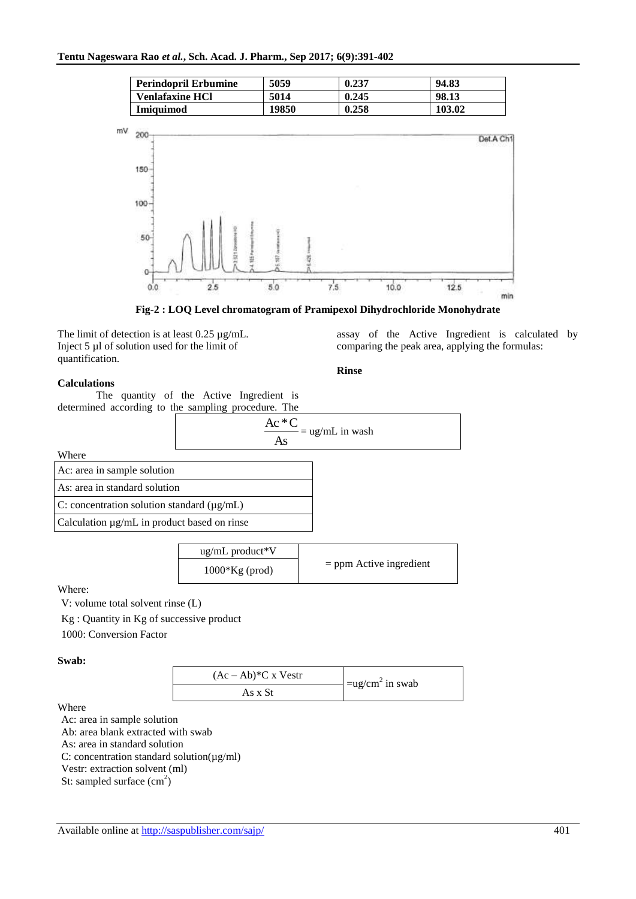| <b>Perindopril Erbumine</b> | 5059  | 0.237 | 94.83  |
|-----------------------------|-------|-------|--------|
| <b>Venlafaxine HCl</b>      | 5014  | 0.245 | 98.13  |
| <b>Imiquimod</b>            | 19850 | 0.258 | 103.02 |



**Fig-2 : LOQ Level chromatogram of Pramipexol Dihydrochloride Monohydrate**

The limit of detection is at least 0.25 µg/mL. Inject 5 µl of solution used for the limit of quantification.

assay of the Active Ingredient is calculated by comparing the peak area, applying the formulas:

#### **Rinse**

### **Calculations**

The quantity of the Active Ingredient is determined according to the sampling procedure. The

$$
\frac{Ac * C}{As} = ug/mL \text{ in wash}
$$

Where

| Ac: area in sample solution                      |  |
|--------------------------------------------------|--|
| As: area in standard solution                    |  |
| C: concentration solution standard $(\mu g/mL)$  |  |
| Calculation $\mu$ g/mL in product based on rinse |  |

| $\mu$ g/mL product*V |                           |
|----------------------|---------------------------|
| $1000*Kg$ (prod)     | $=$ ppm Active ingredient |

Where:

V: volume total solvent rinse (L)

Kg : Quantity in Kg of successive product

1000: Conversion Factor

**Swab:**

| $(Ac - Ab)*C x Vestr$ | $=$ ug/cm <sup>2</sup> in swab |
|-----------------------|--------------------------------|
| As x St               |                                |

Where

Ac: area in sample solution Ab: area blank extracted with swab As: area in standard solution C: concentration standard solution( $\mu$ g/ml) Vestr: extraction solvent (ml) St: sampled surface  $(cm<sup>2</sup>)$